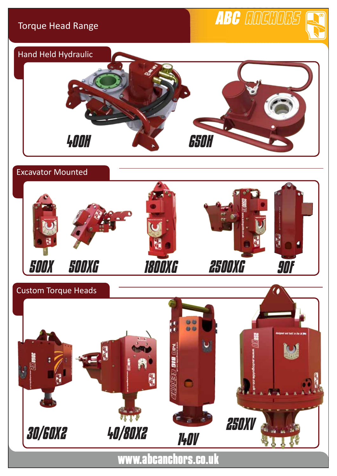### Torque Head Range

# ABC CIDEDUBS





www.abcanchors.co.uk

*250XV*

*30/60X2 40/80X2 140V*

**WUT**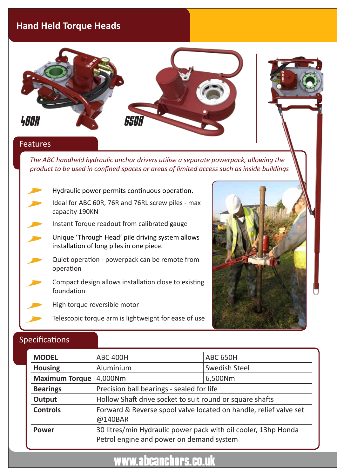### **Hand Held Torque Heads**



*The ABC handheld hydraulic anchor drivers utilise a separate powerpack, allowing the product to be used in confined spaces or areas of limited access such as inside buildings*

- Hydraulic power permits continuous operation. Ideal for ABC 60R, 76R and 76RL screw piles - max capacity 190KN
- Instant Torque readout from calibrated gauge
	- Unique 'Through Head' pile driving system allows installation of long piles in one piece.
	- Quiet operation powerpack can be remote from operation
- Compact design allows installation close to existing foundation
	- High torque reversible motor
		- Telescopic torque arm is lightweight for ease of use



#### Specifications

| <b>MODEL</b>          | <b>ABC 400H</b>                                                                                            | <b>ABC 650H</b>      |  |
|-----------------------|------------------------------------------------------------------------------------------------------------|----------------------|--|
| <b>Housing</b>        | Aluminium                                                                                                  | <b>Swedish Steel</b> |  |
| <b>Maximum Torque</b> | 4,000Nm                                                                                                    | 6,500Nm              |  |
| <b>Bearings</b>       | Precision ball bearings - sealed for life                                                                  |                      |  |
| Output                | Hollow Shaft drive socket to suit round or square shafts                                                   |                      |  |
| <b>Controls</b>       | Forward & Reverse spool valve located on handle, relief valve set<br>@140BAR                               |                      |  |
| <b>Power</b>          | 30 litres/min Hydraulic power pack with oil cooler, 13hp Honda<br>Petrol engine and power on demand system |                      |  |

## www.abcanchors.co.uk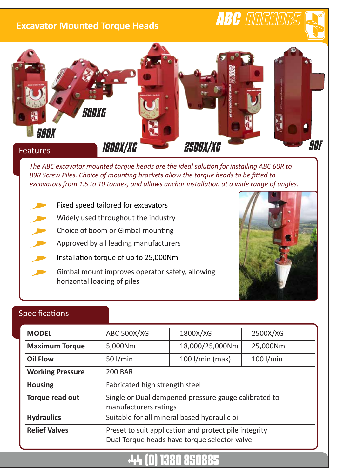### **Excavator Mounted Torque Heads**



*The ABC excavator mounted torque heads are the ideal solution for installing ABC 60R to 89R Screw Piles. Choice of mounting brackets allow the torque heads to be fitted to excavators from 1.5 to 10 tonnes, and allows anchor installation at a wide range of angles.*

- Fixed speed tailored for excavators
- Widely used throughout the industry
- Choice of boom or Gimbal mounting
- Approved by all leading manufacturers
- Installation torque of up to 25,000Nm
- Gimbal mount improves operator safety, allowing horizontal loading of piles



ABC COCOOCS

### Specifications

| <b>MODEL</b>            | <b>ABC 500X/XG</b>                                                                                    | 1800X/XG          | 2500X/XG    |  |  |
|-------------------------|-------------------------------------------------------------------------------------------------------|-------------------|-------------|--|--|
| <b>Maximum Torque</b>   | 5,000Nm                                                                                               | 18,000/25,000Nm   | 25,000Nm    |  |  |
| <b>Oil Flow</b>         | 50 $1/min$                                                                                            | $100$ I/min (max) | $100$ I/min |  |  |
| <b>Working Pressure</b> | <b>200 BAR</b>                                                                                        |                   |             |  |  |
| <b>Housing</b>          | Fabricated high strength steel                                                                        |                   |             |  |  |
| Torque read out         | Single or Dual dampened pressure gauge calibrated to<br>manufacturers ratings                         |                   |             |  |  |
| <b>Hydraulics</b>       | Suitable for all mineral based hydraulic oil                                                          |                   |             |  |  |
| <b>Relief Valves</b>    | Preset to suit application and protect pile integrity<br>Dual Torque heads have torque selector valve |                   |             |  |  |

# +44 (0) 1380 850885